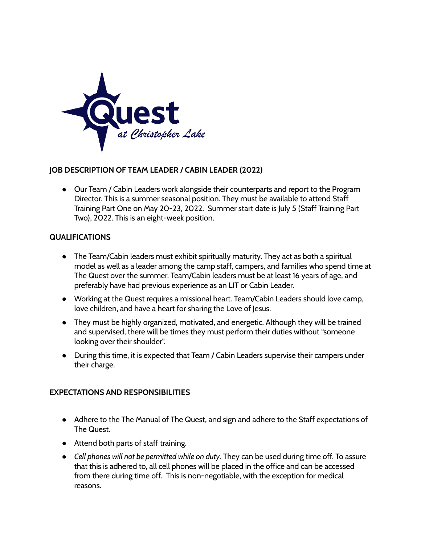

## **JOB DESCRIPTION OF TEAM LEADER / CABIN LEADER (2022)**

● Our Team / Cabin Leaders work alongside their counterparts and report to the Program Director. This is a summer seasonal position. They must be available to attend Staff Training Part One on May 20-23, 2022. Summer start date is July 5 (Staff Training Part Two), 2022. This is an eight-week position.

## **QUALIFICATIONS**

- The Team/Cabin leaders must exhibit spiritually maturity. They act as both a spiritual model as well as a leader among the camp staff, campers, and families who spend time at The Quest over the summer. Team/Cabin leaders must be at least 16 years of age, and preferably have had previous experience as an LIT or Cabin Leader.
- Working at the Quest requires a missional heart. Team/Cabin Leaders should love camp, love children, and have a heart for sharing the Love of Jesus.
- They must be highly organized, motivated, and energetic. Although they will be trained and supervised, there will be times they must perform their duties without "someone looking over their shoulder".
- During this time, it is expected that Team / Cabin Leaders supervise their campers under their charge.

## **EXPECTATIONS AND RESPONSIBILITIES**

- Adhere to the The Manual of The Quest, and sign and adhere to the Staff expectations of The Quest.
- Attend both parts of staff training.
- *Cell phones will not be permitted while on duty*. They can be used during time off. To assure that this is adhered to, all cell phones will be placed in the office and can be accessed from there during time off. This is non-negotiable, with the exception for medical reasons.